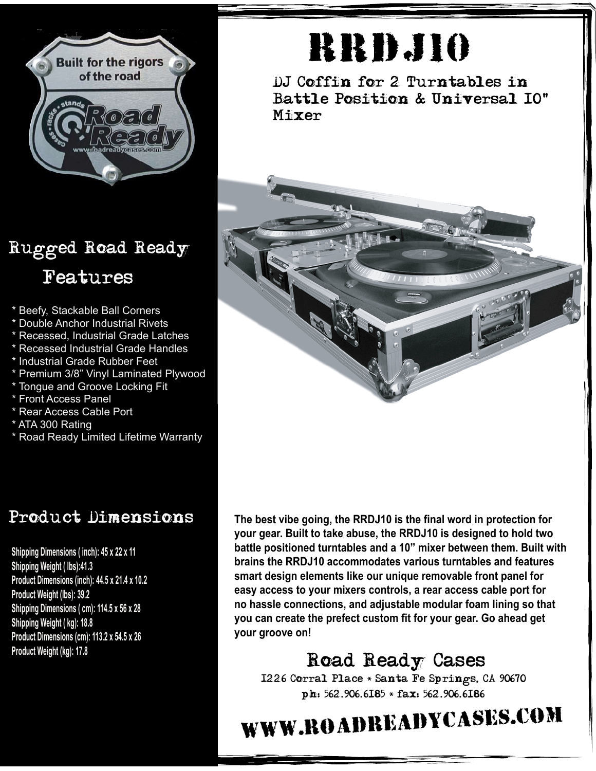

### Rugged Road Ready Features

- \* Beefy, Stackable Ball Corners
- \* Double Anchor Industrial Rivets
- \* Recessed, Industrial Grade Latches
- \* Recessed Industrial Grade Handles
- \* Industrial Grade Rubber Feet
- \* Premium 3/8" Vinyl Laminated Plywood
- \* Tongue and Groove Locking Fit
- \* Front Access Panel
- \* Rear Access Cable Port
- \* ATA 300 Rating
- \* Road Ready Limited Lifetime Warranty

#### Product Dimensions

**Shipping Dimensions ( inch): 45 x 22 x 11 Shipping Weight ( lbs):41.3 Product Dimensions (inch): 44.5 x 21.4 x 10.2 Product Weight (lbs): 39.2 Shipping Dimensions ( cm): 114.5 x 56 x 28 Shipping Weight ( kg): 18.8 Product Dimensions (cm): 113.2 x 54.5 x 26 Product Weight (kg): 17.8**

# **RRDJ10**

DJ Coffin for 2 Turntables in Battle Position & Universal 10" Mixer



**The best vibe going, the RRDJ10 is the final word in protection for your gear. Built to take abuse, the RRDJ10 is designed to hold two battle positioned turntables and a 10" mixer between them. Built with brains the RRDJ10 accommodates various turntables and features smart design elements like our unique removable front panel for easy access to your mixers controls, a rear access cable port for no hassle connections, and adjustable modular foam lining so that you can create the prefect custom fit for your gear. Go ahead get your groove on!**

### Road Ready Cases

1226 Corral Place \* Santa Fe Springs, CA 90670 ph: 562.906.6185 \* fax: 562.906.6186

## www.roadreadycases.com